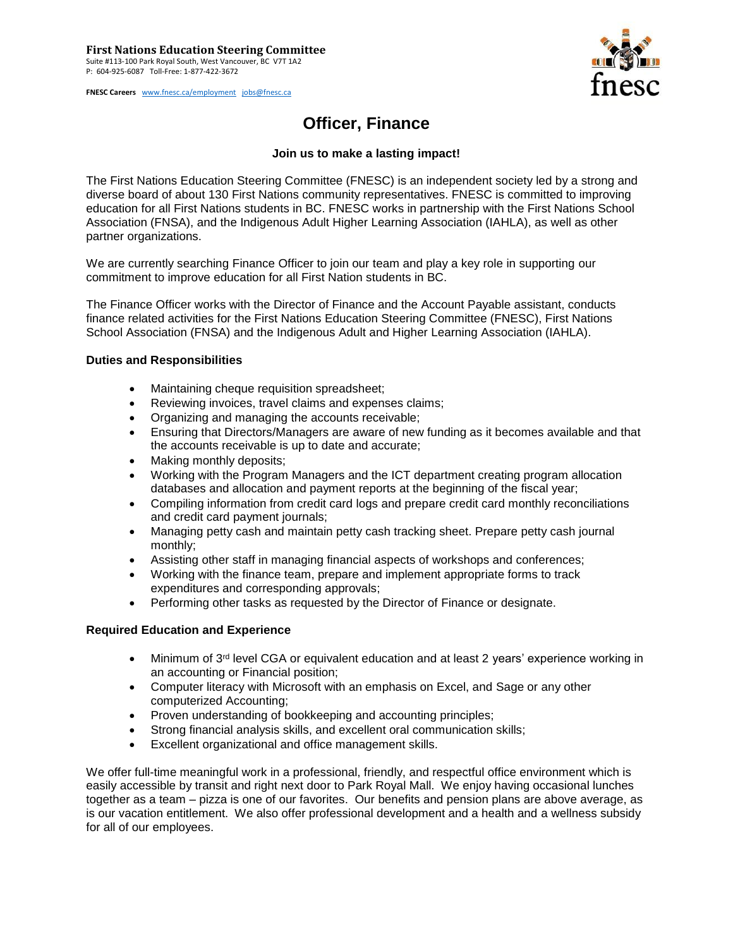**FNESC Careers** [www.fnesc.ca/employment](http://www.fnesc.ca/employment) [jobs@fnesc.ca](mailto:jobs@fnesc.ca) 



## **Officer, Finance**

## **Join us to make a lasting impact!**

The First Nations Education Steering Committee (FNESC) is an independent society led by a strong and diverse board of about 130 First Nations community representatives. FNESC is committed to improving education for all First Nations students in BC. FNESC works in partnership with the First Nations School Association (FNSA), and the Indigenous Adult Higher Learning Association (IAHLA), as well as other partner organizations.

We are currently searching Finance Officer to join our team and play a key role in supporting our commitment to improve education for all First Nation students in BC.

The Finance Officer works with the Director of Finance and the Account Payable assistant, conducts finance related activities for the First Nations Education Steering Committee (FNESC), First Nations School Association (FNSA) and the Indigenous Adult and Higher Learning Association (IAHLA).

## **Duties and Responsibilities**

- Maintaining cheque requisition spreadsheet;
- Reviewing invoices, travel claims and expenses claims;
- Organizing and managing the accounts receivable;
- Ensuring that Directors/Managers are aware of new funding as it becomes available and that the accounts receivable is up to date and accurate;
- Making monthly deposits;
- Working with the Program Managers and the ICT department creating program allocation databases and allocation and payment reports at the beginning of the fiscal year;
- Compiling information from credit card logs and prepare credit card monthly reconciliations and credit card payment journals;
- Managing petty cash and maintain petty cash tracking sheet. Prepare petty cash journal monthly;
- Assisting other staff in managing financial aspects of workshops and conferences;
- Working with the finance team, prepare and implement appropriate forms to track expenditures and corresponding approvals;
- Performing other tasks as requested by the Director of Finance or designate.

## **Required Education and Experience**

- Minimum of 3<sup>rd</sup> level CGA or equivalent education and at least 2 years' experience working in an accounting or Financial position;
- Computer literacy with Microsoft with an emphasis on Excel, and Sage or any other computerized Accounting;
- Proven understanding of bookkeeping and accounting principles;
- Strong financial analysis skills, and excellent oral communication skills;
- Excellent organizational and office management skills.

We offer full-time meaningful work in a professional, friendly, and respectful office environment which is easily accessible by transit and right next door to Park Royal Mall. We enjoy having occasional lunches together as a team – pizza is one of our favorites. Our benefits and pension plans are above average, as is our vacation entitlement. We also offer professional development and a health and a wellness subsidy for all of our employees.